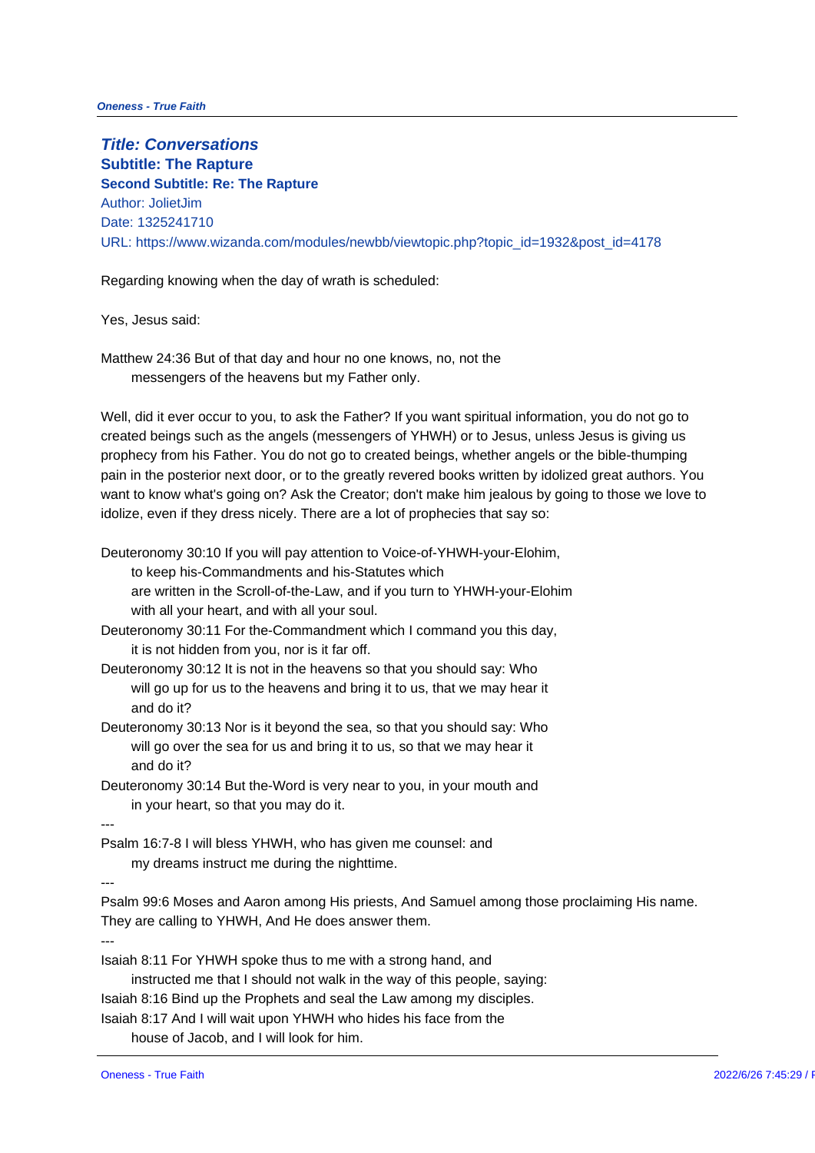**Title: Conversations Subtitle: The Rapture Second Subtitle: Re: The Rapture** Author: JolietJim Date: 1325241710 URL: https://www.wizanda.com/modules/newbb/viewtopic.php?topic\_id=1932

Regarding knowing when the day of wrath is scheduled:

Yes, Jesus said:

Matthew 24:36 But of that day and hour no one knows, no, not the messengers of the heavens but my Father only.

Well, did it ever occur to you, to ask the Father? If you want spiritual infor created beings such as the angels (messengers of YHWH) or to Jesus, unle prophecy from his Father. You do not go to created beings, whether angels pain in the posterior next door, or to the greatly revered books written by i want to know what's going on? Ask the Creator; don't make him jealous by idolize, even if they dress nicely. There are a lot of prophecies that say sc

- Deuteronomy 30:10 If you will pay attention to Voice-of-YHWH-your-Elohim, to keep his-Commandments and his-Statutes which are written in the Scroll-of-the-Law, and if you turn to YHWH-your-El with all your heart, and with all your soul.
- Deuteronomy 30:11 For the-Commandment which I command you this day, it is not hidden from you, nor is it far off.
- Deuteronomy 30:12 It is not in the heavens so that you should say: Who will go up for us to the heavens and bring it to us, that we may hear and do it?
- Deuteronomy 30:13 Nor is it beyond the sea, so that you should say: Who will go over the sea for us and bring it to us, so that we may hear it and do it?
- Deuteronomy 30:14 But the-Word is very near to you, in your mouth and in your heart, so that you may do it.

---

Psalm 16:7-8 I will bless YHWH, who has given me counsel: and my dreams instruct me during the nighttime.

---

Psalm 99:6 Moses and Aaron among His priests, And Samuel among those p They are calling to YHWH, And He does answer them. ---

Isaiah 8:11 For YHWH spoke thus to me with a strong hand, and instructed me that I should not walk in the way of this people, saying: Isaiah 8:16 Bind up the Prophets and seal the Law among my disciples. Isaiah 8:17 And I will wait upon YHWH who hides his face from the house of Jacob, and I will look for him.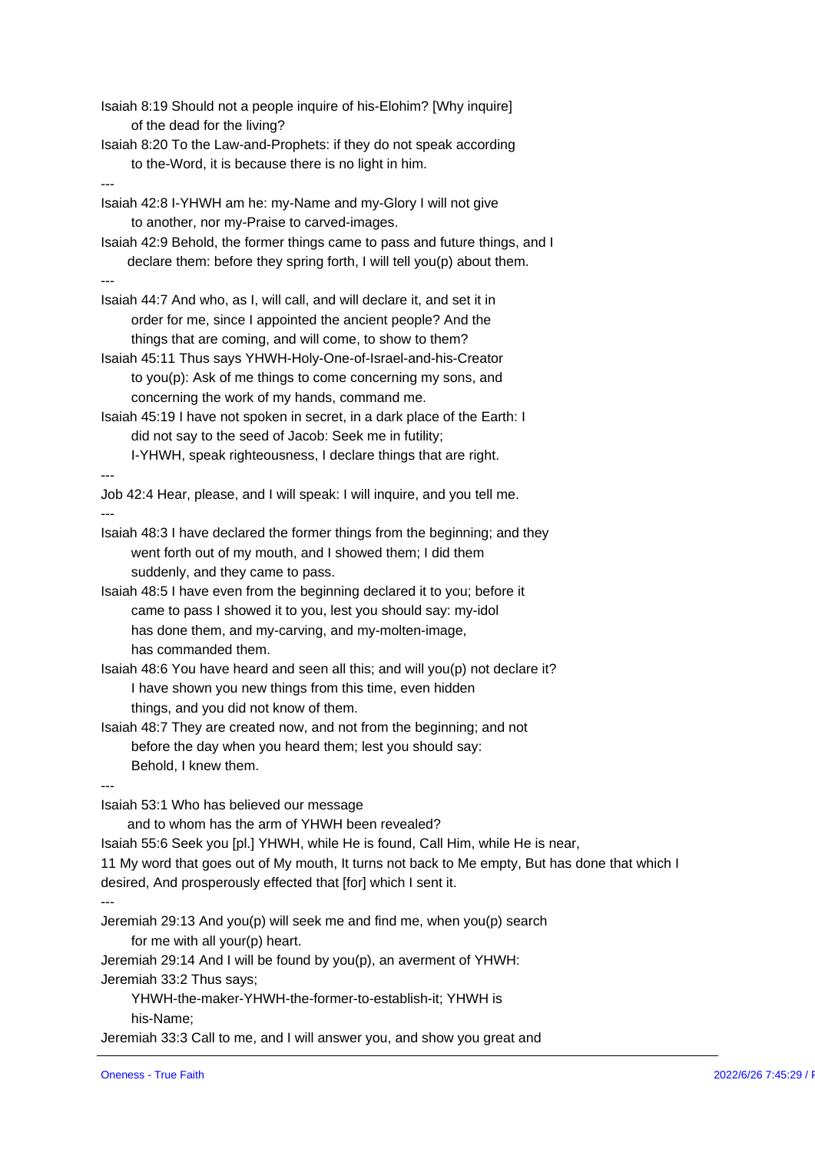Isaiah 8:19 Should not a people inquire of his-Elohim? [Why inquire] of the dead for the living? Isaiah 8:20 To the Law-and-Prophets: if they do not speak according to the-Word, it is because there is no light in him. --- Isaiah 42:8 I-YHWH am he: my-Name and my-Glory I will not give to another, nor my-Praise to carved-images. Isaiah 42:9 Behold, the former things came to pass and future things, and I declare them: before they spring forth, I will tell you(p) about them. --- Isaiah 44:7 And who, as I, will call, and will declare it, and set it in order for me, since I appointed the ancient people? And the things that are coming, and will come, to show to them? Isaiah 45:11 Thus says YHWH-Holy-One-of-Israel-and-his-Creator to you(p): Ask of me things to come concerning my sons, and concerning the work of my hands, command me. Isaiah 45:19 I have not spoken in secret, in a dark place of the Earth: I did not say to the seed of Jacob: Seek me in futility; I-YHWH, speak righteousness, I declare things that are right. --- Job 42:4 Hear, please, and I will speak: I will inquire, and you tell me. --- Isaiah 48:3 I have declared the former things from the beginning; and they went forth out of my mouth, and I showed them; I did them suddenly, and they came to pass. Isaiah 48:5 I have even from the beginning declared it to you; before it came to pass I showed it to you, lest you should say: my-idol has done them, and my-carving, and my-molten-image, has commanded them. Isaiah 48:6 You have heard and seen all this; and will you(p) not declare it I have shown you new things from this time, even hidden things, and you did not know of them. Isaiah 48:7 They are created now, and not from the beginning; and not before the day when you heard them; lest you should say: Behold, I knew them. --- Isaiah 53:1 Who has believed our message and to whom has the arm of YHWH been revealed? Isaiah 55:6 Seek you [pl.] YHWH, while He is found, Call Him, while He is n 11 My word that goes out of My mouth, It turns not back to Me empty, But h desired, And prosperously effected that [for] which I sent it. --- Jeremiah 29:13 And you(p) will seek me and find me, when you(p) search for me with all your(p) heart. Jeremiah 29:14 And I will be found by you(p), an averment of YHWH: Jeremiah 33:2 Thus says; YHWH-the-maker-YHWH-the-former-to-establish-it; YHWH is his-Name; Jeremiah 33:3 Call to me, and I will answer you, and show you great and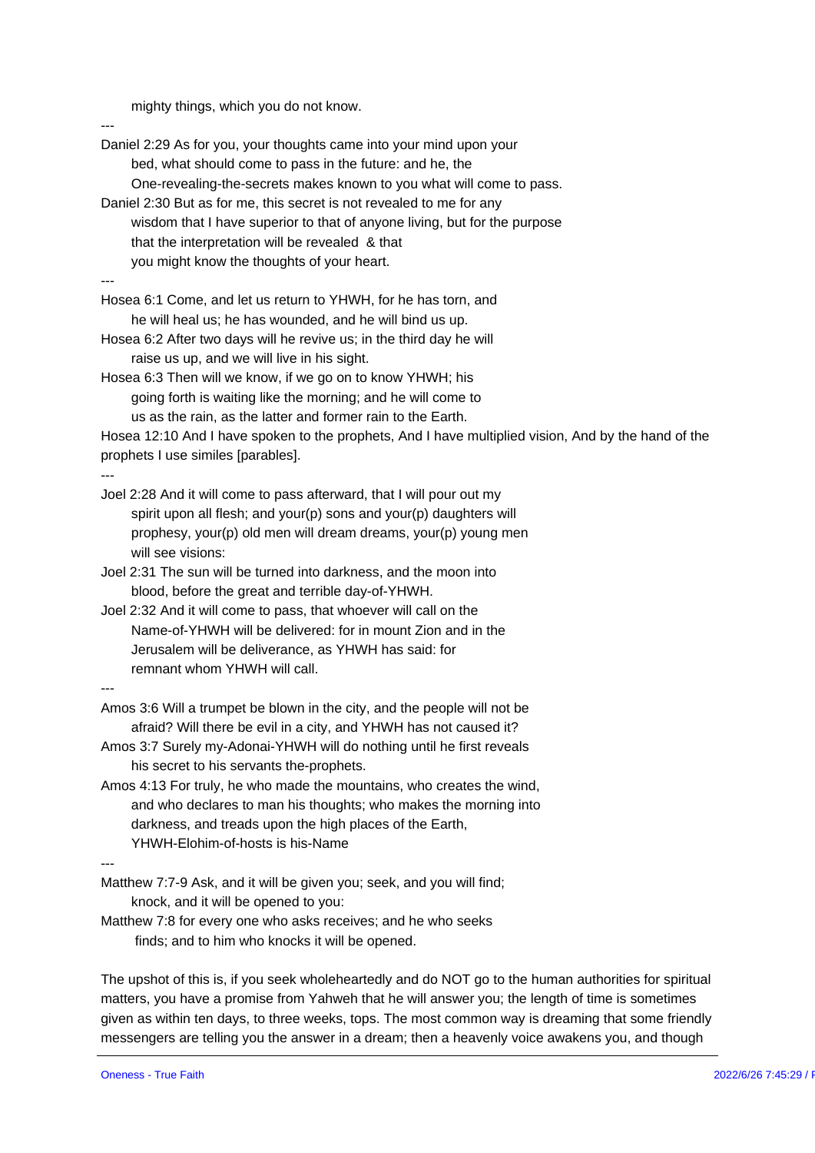mighty things, which you do not know.

--- Daniel 2:29 As for you, your thoughts came into your mind upon your bed, what should come to pass in the future: and he, the One-revealing-the-secrets makes known to you what will come to pass. Daniel 2:30 But as for me, this secret is not revealed to me for any wisdom that I have superior to that of anyone living, but for the purp that the interpretation will be revealed & that you might know the thoughts of your heart. --- Hosea 6:1 Come, and let us return to YHWH, for he has torn, and he will heal us; he has wounded, and he will bind us up. Hosea 6:2 After two days will he revive us; in the third day he will raise us up, and we will live in his sight. Hosea 6:3 Then will we know, if we go on to know YHWH; his going forth is waiting like the morning; and he will come to us as the rain, as the latter and former rain to the Earth. Hosea 12:10 And I have spoken to the prophets, And I have multiplied visio prophets I use similes [parables]. --- Joel 2:28 And it will come to pass afterward, that I will pour out my spirit upon all flesh; and your(p) sons and your(p) daughters will prophesy, your(p) old men will dream dreams, your(p) young men will see visions: Joel 2:31 The sun will be turned into darkness, and the moon into blood, before the great and terrible day-of-YHWH.

Joel 2:32 And it will come to pass, that whoever will call on the Name-of-YHWH will be delivered: for in mount Zion and in the Jerusalem will be deliverance, as YHWH has said: for remnant whom YHWH will call.

---

- Amos 3:6 Will a trumpet be blown in the city, and the people will not be afraid? Will there be evil in a city, and YHWH has not caused it?
- Amos 3:7 Surely my-Adonai-YHWH will do nothing until he first reveals his secret to his servants the-prophets.
- Amos 4:13 For truly, he who made the mountains, who creates the wind, and who declares to man his thoughts; who makes the morning into darkness, and treads upon the high places of the Earth, YHWH-Elohim-of-hosts is his-Name

---

- Matthew 7:7-9 Ask, and it will be given you; seek, and you will find; knock, and it will be opened to you:
- Matthew 7:8 for every one who asks receives; and he who seeks finds; and to him who knocks it will be opened.

The upshot of this is, if you seek wholeheartedly and do NOT go to the hum matters, you have a promise from Yahweh that he will answer you; the leng given as within ten days, to three weeks, tops. The most common way is dr messengers are telling you the answer in a dream; then a heavenly voice a